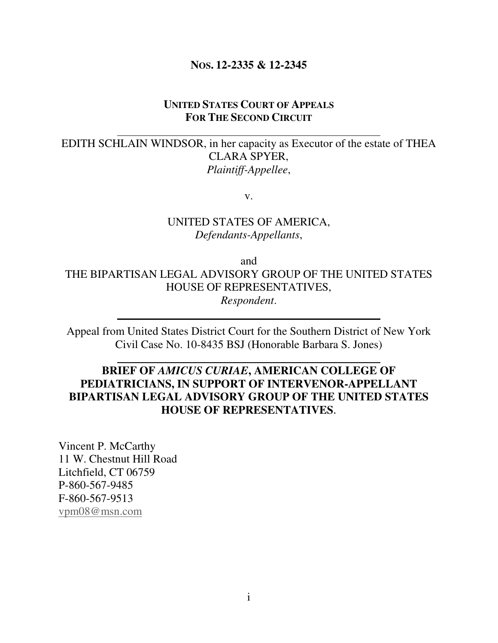#### **NOS. 12-2335 & 12-2345**

#### **UNITED STATES COURT OF APPEALS FOR THE SECOND CIRCUIT**

EDITH SCHLAIN WINDSOR, in her capacity as Executor of the estate of THEA CLARA SPYER, *Plaintiff-Appellee*,

v.

UNITED STATES OF AMERICA, *Defendants-Appellants*,

and THE BIPARTISAN LEGAL ADVISORY GROUP OF THE UNITED STATES HOUSE OF REPRESENTATIVES, *Respondent*.

Appeal from United States District Court for the Southern District of New York Civil Case No. 10-8435 BSJ (Honorable Barbara S. Jones)

### **BRIEF OF** *AMICUS CURIAE***, AMERICAN COLLEGE OF PEDIATRICIANS, IN SUPPORT OF INTERVENOR-APPELLANT BIPARTISAN LEGAL ADVISORY GROUP OF THE UNITED STATES HOUSE OF REPRESENTATIVES**.

Vincent P. McCarthy 11 W. Chestnut Hill Road Litchfield, CT 06759 P-860-567-9485 F-860-567-9513 vpm08@msn.com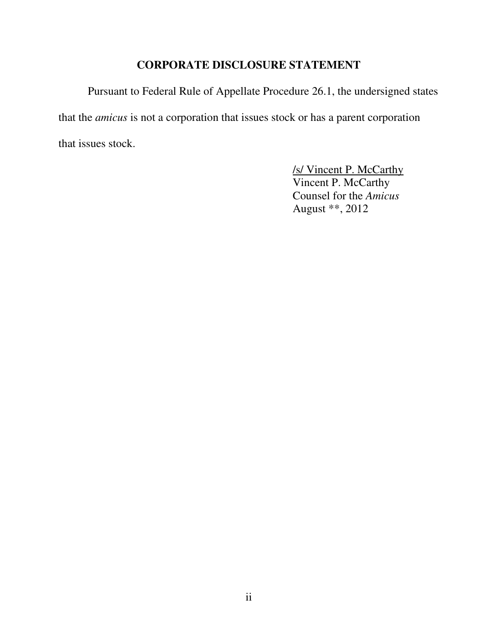### **CORPORATE DISCLOSURE STATEMENT**

Pursuant to Federal Rule of Appellate Procedure 26.1, the undersigned states that the *amicus* is not a corporation that issues stock or has a parent corporation that issues stock.

> /s/ Vincent P. McCarthy Vincent P. McCarthy Counsel for the *Amicus*  August \*\*, 2012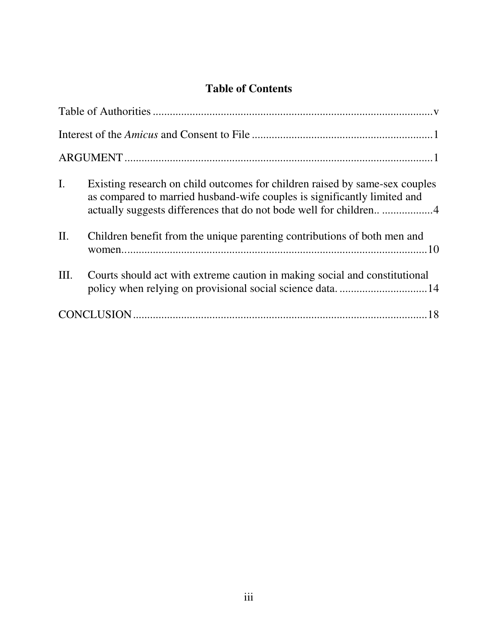# **Table of Contents**

| $\mathbf{I}$ . | Existing research on child outcomes for children raised by same-sex couples<br>as compared to married husband-wife couples is significantly limited and |  |
|----------------|---------------------------------------------------------------------------------------------------------------------------------------------------------|--|
| II.            | Children benefit from the unique parenting contributions of both men and                                                                                |  |
| Ш.             | Courts should act with extreme caution in making social and constitutional                                                                              |  |
|                |                                                                                                                                                         |  |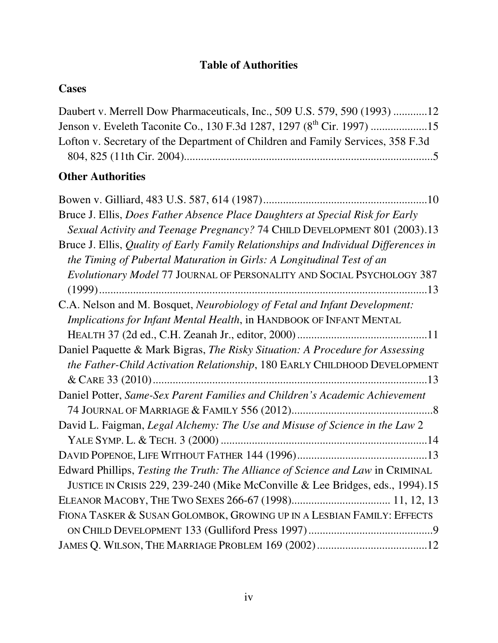## **Table of Authorities**

## **Cases**

| Daubert v. Merrell Dow Pharmaceuticals, Inc., 509 U.S. 579, 590 (1993) 12       |  |
|---------------------------------------------------------------------------------|--|
|                                                                                 |  |
| Lofton v. Secretary of the Department of Children and Family Services, 358 F.3d |  |
|                                                                                 |  |

# **Other Authorities**

| Bruce J. Ellis, Does Father Absence Place Daughters at Special Risk for Early       |
|-------------------------------------------------------------------------------------|
| Sexual Activity and Teenage Pregnancy? 74 CHILD DEVELOPMENT 801 (2003).13           |
| Bruce J. Ellis, Quality of Early Family Relationships and Individual Differences in |
| the Timing of Pubertal Maturation in Girls: A Longitudinal Test of an               |
| Evolutionary Model 77 JOURNAL OF PERSONALITY AND SOCIAL PSYCHOLOGY 387              |
|                                                                                     |
| C.A. Nelson and M. Bosquet, Neurobiology of Fetal and Infant Development:           |
| Implications for Infant Mental Health, in HANDBOOK OF INFANT MENTAL                 |
|                                                                                     |
| Daniel Paquette & Mark Bigras, The Risky Situation: A Procedure for Assessing       |
| the Father-Child Activation Relationship, 180 EARLY CHILDHOOD DEVELOPMENT           |
|                                                                                     |
| Daniel Potter, Same-Sex Parent Families and Children's Academic Achievement         |
|                                                                                     |
| David L. Faigman, Legal Alchemy: The Use and Misuse of Science in the Law 2         |
|                                                                                     |
|                                                                                     |
| Edward Phillips, Testing the Truth: The Alliance of Science and Law in CRIMINAL     |
| JUSTICE IN CRISIS 229, 239-240 (Mike McConville & Lee Bridges, eds., 1994).15       |
|                                                                                     |
| FIONA TASKER & SUSAN GOLOMBOK, GROWING UP IN A LESBIAN FAMILY: EFFECTS              |
|                                                                                     |
|                                                                                     |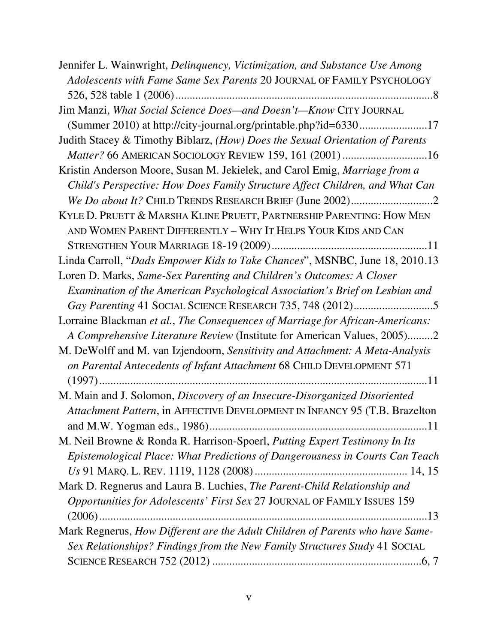Jennifer L. Wainwright, *Delinquency, Victimization, and Substance Use Among Adolescents with Fame Same Sex Parents* 20 JOURNAL OF FAMILY PSYCHOLOGY 526, 528 table 1 (2006) ........................................................................................... 8 Jim Manzi, *What Social Science Does—and Doesn't—Know* CITY JOURNAL (Summer 2010) at http://city-journal.org/printable.php?id=6330 ........................17 Judith Stacey & Timothy Biblarz, *(How) Does the Sexual Orientation of Parents Matter?* 66 AMERICAN SOCIOLOGY REVIEW 159, 161 (2001) ..............................16 Kristin Anderson Moore, Susan M. Jekielek, and Carol Emig, *Marriage from a Child's Perspective: How Does Family Structure Affect Children, and What Can We Do about It?* CHILD TRENDS RESEARCH BRIEF (June 2002) ............................. 2 KYLE D. PRUETT & MARSHA KLINE PRUETT, PARTNERSHIP PARENTING: HOW MEN AND WOMEN PARENT DIFFERENTLY – WHY IT HELPS YOUR KIDS AND CAN STRENGTHEN YOUR MARRIAGE 18-19 (2009) .......................................................11 Linda Carroll, "*Dads Empower Kids to Take Chances*", MSNBC, June 18, 2010 .13 Loren D. Marks, *Same-Sex Parenting and Children's Outcomes: A Closer Examination of the American Psychological Association's Brief on Lesbian and Gay Parenting* 41 SOCIAL SCIENCE RESEARCH 735, 748 (2012) ............................ 5 Lorraine Blackman *et al.*, *The Consequences of Marriage for African-Americans: A Comprehensive Literature Review* (Institute for American Values, 2005) ......... 2 M. DeWolff and M. van Izjendoorn, *Sensitivity and Attachment: A Meta-Analysis on Parental Antecedents of Infant Attachment* 68 CHILD DEVELOPMENT 571 (1997) ....................................................................................................................11 M. Main and J. Solomon, *Discovery of an Insecure-Disorganized Disoriented Attachment Pattern*, in AFFECTIVE DEVELOPMENT IN INFANCY 95 (T.B. Brazelton and M.W. Yogman eds., 1986) .............................................................................11 M. Neil Browne & Ronda R. Harrison-Spoerl, *Putting Expert Testimony In Its Epistemological Place: What Predictions of Dangerousness in Courts Can Teach Us* 91 MARQ. L. REV. 1119, 1128 (2008) ...................................................... 14, 15 Mark D. Regnerus and Laura B. Luchies, *The Parent-Child Relationship and Opportunities for Adolescents' First Sex* 27 JOURNAL OF FAMILY ISSUES 159 (2006) ....................................................................................................................13 Mark Regnerus, *How Different are the Adult Children of Parents who have Same-Sex Relationships? Findings from the New Family Structures Study* 41 SOCIAL SCIENCE RESEARCH 752 (2012) ..........................................................................6, 7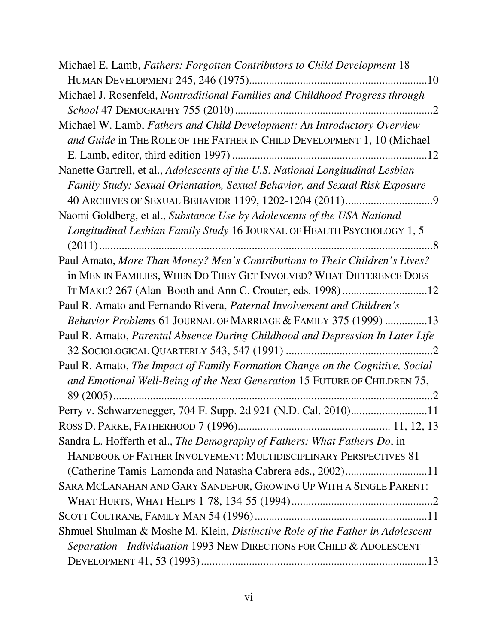| Michael E. Lamb, Fathers: Forgotten Contributors to Child Development 18        |
|---------------------------------------------------------------------------------|
|                                                                                 |
| Michael J. Rosenfeld, Nontraditional Families and Childhood Progress through    |
|                                                                                 |
| Michael W. Lamb, Fathers and Child Development: An Introductory Overview        |
| and Guide in THE ROLE OF THE FATHER IN CHILD DEVELOPMENT 1, 10 (Michael         |
|                                                                                 |
| Nanette Gartrell, et al., Adolescents of the U.S. National Longitudinal Lesbian |
| Family Study: Sexual Orientation, Sexual Behavior, and Sexual Risk Exposure     |
|                                                                                 |
| Naomi Goldberg, et al., Substance Use by Adolescents of the USA National        |
| Longitudinal Lesbian Family Study 16 JOURNAL OF HEALTH PSYCHOLOGY 1, 5          |
|                                                                                 |
| Paul Amato, More Than Money? Men's Contributions to Their Children's Lives?     |
| in MEN IN FAMILIES, WHEN DO THEY GET INVOLVED? WHAT DIFFERENCE DOES             |
|                                                                                 |
| Paul R. Amato and Fernando Rivera, Paternal Involvement and Children's          |
| Behavior Problems 61 JOURNAL OF MARRIAGE & FAMILY 375 (1999) 13                 |
| Paul R. Amato, Parental Absence During Childhood and Depression In Later Life   |
|                                                                                 |
| Paul R. Amato, The Impact of Family Formation Change on the Cognitive, Social   |
| and Emotional Well-Being of the Next Generation 15 FUTURE OF CHILDREN 75,       |
|                                                                                 |
| Perry v. Schwarzenegger, 704 F. Supp. 2d 921 (N.D. Cal. 2010)11                 |
|                                                                                 |
| Sandra L. Hofferth et al., The Demography of Fathers: What Fathers Do, in       |
| HANDBOOK OF FATHER INVOLVEMENT: MULTIDISCIPLINARY PERSPECTIVES 81               |
| (Catherine Tamis-Lamonda and Natasha Cabrera eds., 2002)11                      |
| SARA MCLANAHAN AND GARY SANDEFUR, GROWING UP WITH A SINGLE PARENT:              |
|                                                                                 |
|                                                                                 |
| Shmuel Shulman & Moshe M. Klein, Distinctive Role of the Father in Adolescent   |
| Separation - Individuation 1993 NEW DIRECTIONS FOR CHILD & ADOLESCENT           |
|                                                                                 |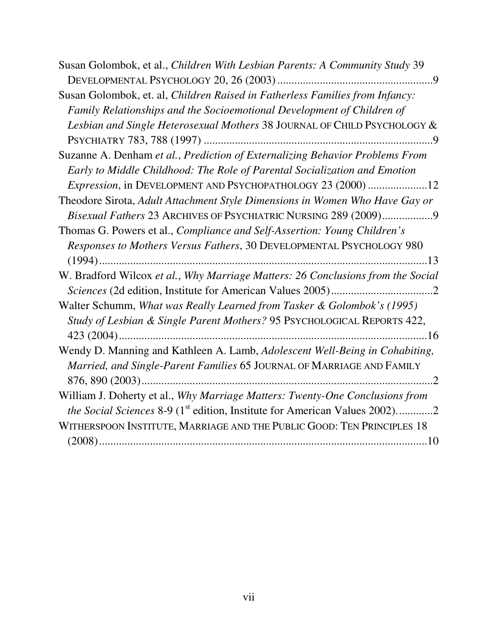| Susan Golombok, et al., Children With Lesbian Parents: A Community Study 39                                                                                                   |
|-------------------------------------------------------------------------------------------------------------------------------------------------------------------------------|
|                                                                                                                                                                               |
| Susan Golombok, et. al, Children Raised in Fatherless Families from Infancy:                                                                                                  |
| Family Relationships and the Socioemotional Development of Children of                                                                                                        |
| Lesbian and Single Heterosexual Mothers 38 JOURNAL OF CHILD PSYCHOLOGY &                                                                                                      |
|                                                                                                                                                                               |
| Suzanne A. Denham et al., Prediction of Externalizing Behavior Problems From                                                                                                  |
| Early to Middle Childhood: The Role of Parental Socialization and Emotion                                                                                                     |
| Expression, in DEVELOPMENT AND PSYCHOPATHOLOGY 23 (2000) 12                                                                                                                   |
| Theodore Sirota, Adult Attachment Style Dimensions in Women Who Have Gay or                                                                                                   |
| Bisexual Fathers 23 ARCHIVES OF PSYCHIATRIC NURSING 289 (2009)9                                                                                                               |
| Thomas G. Powers et al., Compliance and Self-Assertion: Young Children's                                                                                                      |
| Responses to Mothers Versus Fathers, 30 DEVELOPMENTAL PSYCHOLOGY 980                                                                                                          |
|                                                                                                                                                                               |
| W. Bradford Wilcox et al., Why Marriage Matters: 26 Conclusions from the Social                                                                                               |
|                                                                                                                                                                               |
| Walter Schumm, What was Really Learned from Tasker & Golombok's (1995)                                                                                                        |
| Study of Lesbian & Single Parent Mothers? 95 PSYCHOLOGICAL REPORTS 422,                                                                                                       |
|                                                                                                                                                                               |
| Wendy D. Manning and Kathleen A. Lamb, Adolescent Well-Being in Cohabiting,<br>Married, and Single-Parent Families 65 JOURNAL OF MARRIAGE AND FAMILY                          |
|                                                                                                                                                                               |
| William J. Doherty et al., Why Marriage Matters: Twenty-One Conclusions from<br><i>the Social Sciences</i> 8-9 (1 <sup>st</sup> edition, Institute for American Values 2002)2 |
| WITHERSPOON INSTITUTE, MARRIAGE AND THE PUBLIC GOOD: TEN PRINCIPLES 18                                                                                                        |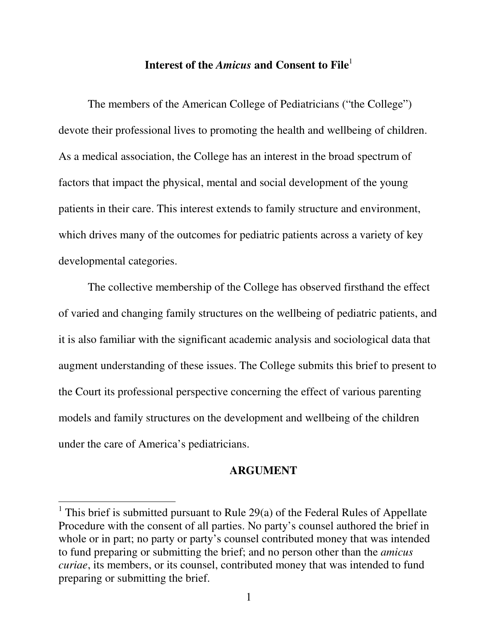## **Interest of the** *Amicus* **and Consent to File**<sup>1</sup>

The members of the American College of Pediatricians ("the College") devote their professional lives to promoting the health and wellbeing of children. As a medical association, the College has an interest in the broad spectrum of factors that impact the physical, mental and social development of the young patients in their care. This interest extends to family structure and environment, which drives many of the outcomes for pediatric patients across a variety of key developmental categories.

The collective membership of the College has observed firsthand the effect of varied and changing family structures on the wellbeing of pediatric patients, and it is also familiar with the significant academic analysis and sociological data that augment understanding of these issues. The College submits this brief to present to the Court its professional perspective concerning the effect of various parenting models and family structures on the development and wellbeing of the children under the care of America's pediatricians.

#### **ARGUMENT**

-

<sup>&</sup>lt;sup>1</sup> This brief is submitted pursuant to Rule 29(a) of the Federal Rules of Appellate Procedure with the consent of all parties. No party's counsel authored the brief in whole or in part; no party or party's counsel contributed money that was intended to fund preparing or submitting the brief; and no person other than the *amicus curiae*, its members, or its counsel, contributed money that was intended to fund preparing or submitting the brief.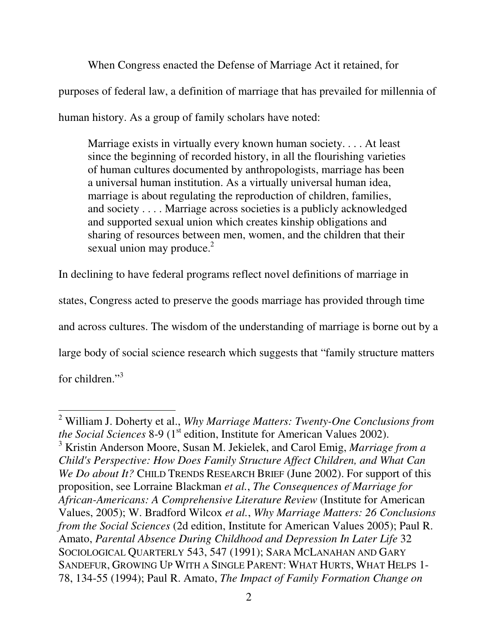When Congress enacted the Defense of Marriage Act it retained, for purposes of federal law, a definition of marriage that has prevailed for millennia of human history. As a group of family scholars have noted:

Marriage exists in virtually every known human society. . . . At least since the beginning of recorded history, in all the flourishing varieties of human cultures documented by anthropologists, marriage has been a universal human institution. As a virtually universal human idea, marriage is about regulating the reproduction of children, families, and society . . . . Marriage across societies is a publicly acknowledged and supported sexual union which creates kinship obligations and sharing of resources between men, women, and the children that their sexual union may produce.<sup>2</sup>

In declining to have federal programs reflect novel definitions of marriage in

states, Congress acted to preserve the goods marriage has provided through time

and across cultures. The wisdom of the understanding of marriage is borne out by a

large body of social science research which suggests that "family structure matters

for children."<sup>3</sup>

<sup>2</sup> William J. Doherty et al., *Why Marriage Matters: Twenty-One Conclusions from the Social Sciences* 8-9 (1<sup>st</sup> edition, Institute for American Values 2002).

<sup>3</sup> Kristin Anderson Moore, Susan M. Jekielek, and Carol Emig, *Marriage from a Child's Perspective: How Does Family Structure Affect Children, and What Can We Do about It?* CHILD TRENDS RESEARCH BRIEF (June 2002). For support of this proposition, see Lorraine Blackman *et al.*, *The Consequences of Marriage for African-Americans: A Comprehensive Literature Review* (Institute for American Values, 2005); W. Bradford Wilcox *et al.*, *Why Marriage Matters: 26 Conclusions from the Social Sciences* (2d edition, Institute for American Values 2005); Paul R. Amato, *Parental Absence During Childhood and Depression In Later Life* 32 SOCIOLOGICAL QUARTERLY 543, 547 (1991); SARA MCLANAHAN AND GARY SANDEFUR, GROWING UP WITH A SINGLE PARENT: WHAT HURTS, WHAT HELPS 1- 78, 134-55 (1994); Paul R. Amato, *The Impact of Family Formation Change on*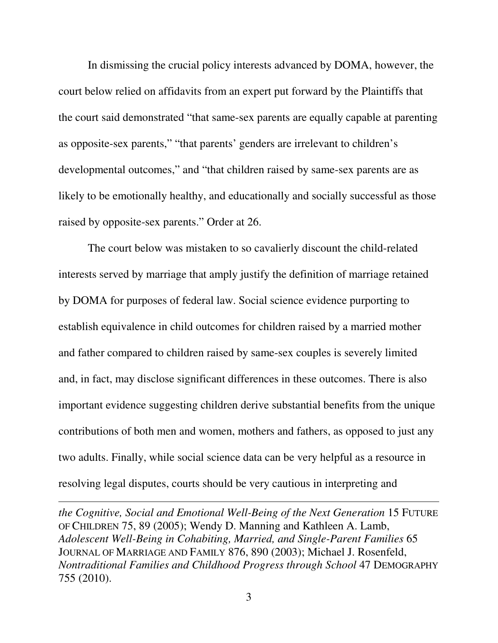In dismissing the crucial policy interests advanced by DOMA, however, the court below relied on affidavits from an expert put forward by the Plaintiffs that the court said demonstrated "that same-sex parents are equally capable at parenting as opposite-sex parents," "that parents' genders are irrelevant to children's developmental outcomes," and "that children raised by same-sex parents are as likely to be emotionally healthy, and educationally and socially successful as those raised by opposite-sex parents." Order at 26.

 The court below was mistaken to so cavalierly discount the child-related interests served by marriage that amply justify the definition of marriage retained by DOMA for purposes of federal law. Social science evidence purporting to establish equivalence in child outcomes for children raised by a married mother and father compared to children raised by same-sex couples is severely limited and, in fact, may disclose significant differences in these outcomes. There is also important evidence suggesting children derive substantial benefits from the unique contributions of both men and women, mothers and fathers, as opposed to just any two adults. Finally, while social science data can be very helpful as a resource in resolving legal disputes, courts should be very cautious in interpreting and

*the Cognitive, Social and Emotional Well-Being of the Next Generation* 15 FUTURE OF CHILDREN 75, 89 (2005); Wendy D. Manning and Kathleen A. Lamb, *Adolescent Well-Being in Cohabiting, Married, and Single-Parent Families* 65 JOURNAL OF MARRIAGE AND FAMILY 876, 890 (2003); Michael J. Rosenfeld, *Nontraditional Families and Childhood Progress through School* 47 DEMOGRAPHY 755 (2010).

-

3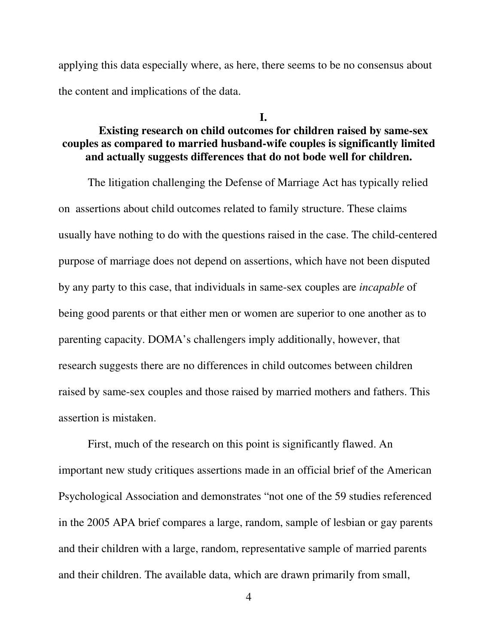applying this data especially where, as here, there seems to be no consensus about the content and implications of the data.

# **Existing research on child outcomes for children raised by same-sex couples as compared to married husband-wife couples is significantly limited and actually suggests differences that do not bode well for children.**

**I.** 

The litigation challenging the Defense of Marriage Act has typically relied on assertions about child outcomes related to family structure. These claims usually have nothing to do with the questions raised in the case. The child-centered purpose of marriage does not depend on assertions, which have not been disputed by any party to this case, that individuals in same-sex couples are *incapable* of being good parents or that either men or women are superior to one another as to parenting capacity. DOMA's challengers imply additionally, however, that research suggests there are no differences in child outcomes between children raised by same-sex couples and those raised by married mothers and fathers. This assertion is mistaken.

First, much of the research on this point is significantly flawed. An important new study critiques assertions made in an official brief of the American Psychological Association and demonstrates "not one of the 59 studies referenced in the 2005 APA brief compares a large, random, sample of lesbian or gay parents and their children with a large, random, representative sample of married parents and their children. The available data, which are drawn primarily from small,

4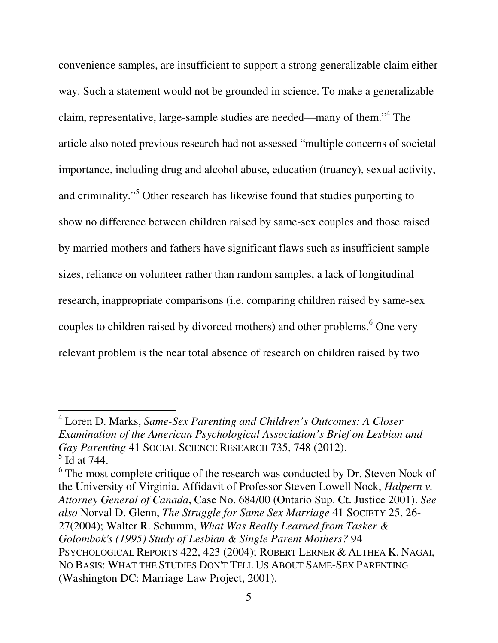convenience samples, are insufficient to support a strong generalizable claim either way. Such a statement would not be grounded in science. To make a generalizable claim, representative, large-sample studies are needed—many of them."<sup>4</sup> The article also noted previous research had not assessed "multiple concerns of societal importance, including drug and alcohol abuse, education (truancy), sexual activity, and criminality."<sup>5</sup> Other research has likewise found that studies purporting to show no difference between children raised by same-sex couples and those raised by married mothers and fathers have significant flaws such as insufficient sample sizes, reliance on volunteer rather than random samples, a lack of longitudinal research, inappropriate comparisons (i.e. comparing children raised by same-sex couples to children raised by divorced mothers) and other problems.<sup>6</sup> One very relevant problem is the near total absence of research on children raised by two

<sup>4</sup> Loren D. Marks, *Same-Sex Parenting and Children's Outcomes: A Closer Examination of the American Psychological Association's Brief on Lesbian and Gay Parenting* 41 SOCIAL SCIENCE RESEARCH 735, 748 (2012).  $<sup>5</sup>$  Id at 744.</sup>

 $6$  The most complete critique of the research was conducted by Dr. Steven Nock of the University of Virginia. Affidavit of Professor Steven Lowell Nock, *Halpern v. Attorney General of Canada*, Case No. 684/00 (Ontario Sup. Ct. Justice 2001). *See also* Norval D. Glenn, *The Struggle for Same Sex Marriage* 41 SOCIETY 25, 26- 27(2004); Walter R. Schumm, *What Was Really Learned from Tasker & Golombok's (1995) Study of Lesbian & Single Parent Mothers?* 94 PSYCHOLOGICAL REPORTS 422, 423 (2004); ROBERT LERNER & ALTHEA K. NAGAI, NO BASIS: WHAT THE STUDIES DON'T TELL US ABOUT SAME-SEX PARENTING (Washington DC: Marriage Law Project, 2001).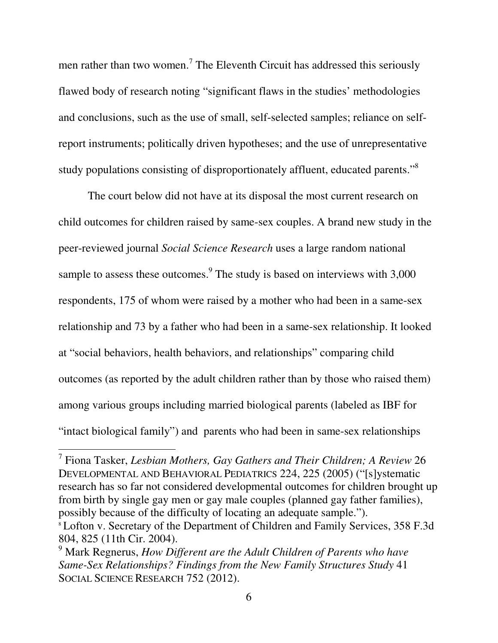men rather than two women.<sup>7</sup> The Eleventh Circuit has addressed this seriously flawed body of research noting "significant flaws in the studies' methodologies and conclusions, such as the use of small, self-selected samples; reliance on selfreport instruments; politically driven hypotheses; and the use of unrepresentative study populations consisting of disproportionately affluent, educated parents."<sup>8</sup>

The court below did not have at its disposal the most current research on child outcomes for children raised by same-sex couples. A brand new study in the peer-reviewed journal *Social Science Research* uses a large random national sample to assess these outcomes. $9$  The study is based on interviews with 3,000 respondents, 175 of whom were raised by a mother who had been in a same-sex relationship and 73 by a father who had been in a same-sex relationship. It looked at "social behaviors, health behaviors, and relationships" comparing child outcomes (as reported by the adult children rather than by those who raised them) among various groups including married biological parents (labeled as IBF for "intact biological family") and parents who had been in same-sex relationships

<sup>7</sup> Fiona Tasker, *Lesbian Mothers, Gay Gathers and Their Children; A Review* 26 DEVELOPMENTAL AND BEHAVIORAL PEDIATRICS 224, 225 (2005) ("[s]ystematic research has so far not considered developmental outcomes for children brought up from birth by single gay men or gay male couples (planned gay father families), possibly because of the difficulty of locating an adequate sample."). <sup>8</sup> Lofton v. Secretary of the Department of Children and Family Services, 358 F.3d 804, 825 (11th Cir. 2004).

<sup>9</sup> Mark Regnerus, *How Different are the Adult Children of Parents who have Same-Sex Relationships? Findings from the New Family Structures Study* 41 SOCIAL SCIENCE RESEARCH 752 (2012).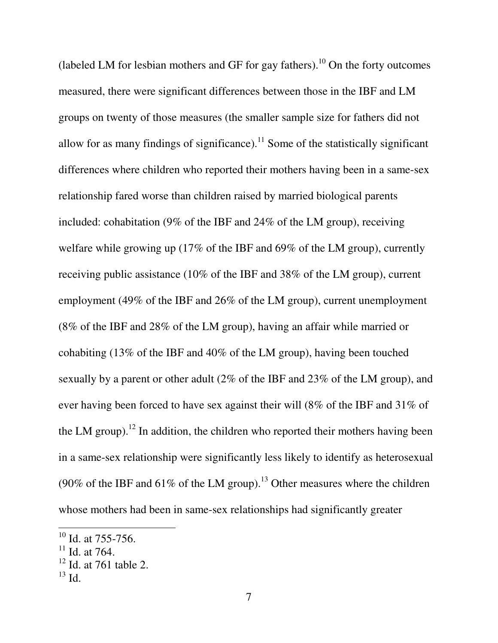(labeled LM for lesbian mothers and GF for gay fathers).<sup>10</sup> On the forty outcomes measured, there were significant differences between those in the IBF and LM groups on twenty of those measures (the smaller sample size for fathers did not allow for as many findings of significance).<sup>11</sup> Some of the statistically significant differences where children who reported their mothers having been in a same-sex relationship fared worse than children raised by married biological parents included: cohabitation (9% of the IBF and 24% of the LM group), receiving welfare while growing up (17% of the IBF and 69% of the LM group), currently receiving public assistance (10% of the IBF and 38% of the LM group), current employment (49% of the IBF and 26% of the LM group), current unemployment (8% of the IBF and 28% of the LM group), having an affair while married or cohabiting (13% of the IBF and 40% of the LM group), having been touched sexually by a parent or other adult (2% of the IBF and 23% of the LM group), and ever having been forced to have sex against their will (8% of the IBF and 31% of the LM group).<sup>12</sup> In addition, the children who reported their mothers having been in a same-sex relationship were significantly less likely to identify as heterosexual (90% of the IBF and 61% of the LM group).<sup>13</sup> Other measures where the children whose mothers had been in same-sex relationships had significantly greater

 $\ddot{\phantom{a}}$ 

 $^{10}$  Id. at 755-756.

 $11$  Id. at 764.

 $12$  Id. at 761 table 2.

 $^{13}$  Id.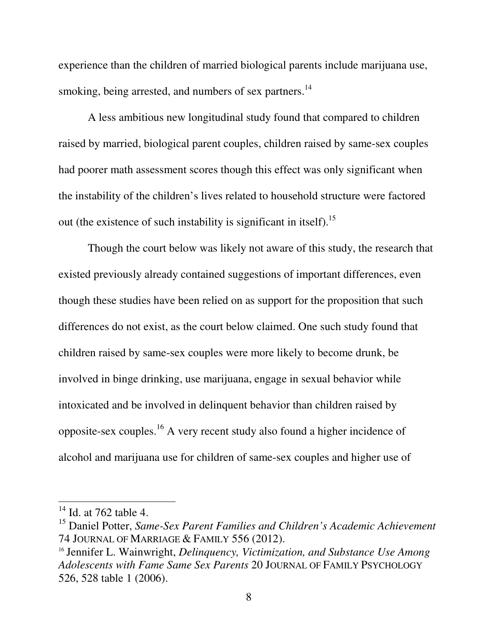experience than the children of married biological parents include marijuana use, smoking, being arrested, and numbers of sex partners.<sup>14</sup>

A less ambitious new longitudinal study found that compared to children raised by married, biological parent couples, children raised by same-sex couples had poorer math assessment scores though this effect was only significant when the instability of the children's lives related to household structure were factored out (the existence of such instability is significant in itself).<sup>15</sup>

Though the court below was likely not aware of this study, the research that existed previously already contained suggestions of important differences, even though these studies have been relied on as support for the proposition that such differences do not exist, as the court below claimed. One such study found that children raised by same-sex couples were more likely to become drunk, be involved in binge drinking, use marijuana, engage in sexual behavior while intoxicated and be involved in delinquent behavior than children raised by opposite-sex couples.<sup>16</sup> A very recent study also found a higher incidence of alcohol and marijuana use for children of same-sex couples and higher use of

-

 $14$  Id. at 762 table 4.

<sup>15</sup> Daniel Potter, *Same-Sex Parent Families and Children's Academic Achievement* 74 JOURNAL OF MARRIAGE & FAMILY 556 (2012).

<sup>16</sup> Jennifer L. Wainwright, *Delinquency, Victimization, and Substance Use Among Adolescents with Fame Same Sex Parents* 20 JOURNAL OF FAMILY PSYCHOLOGY 526, 528 table 1 (2006).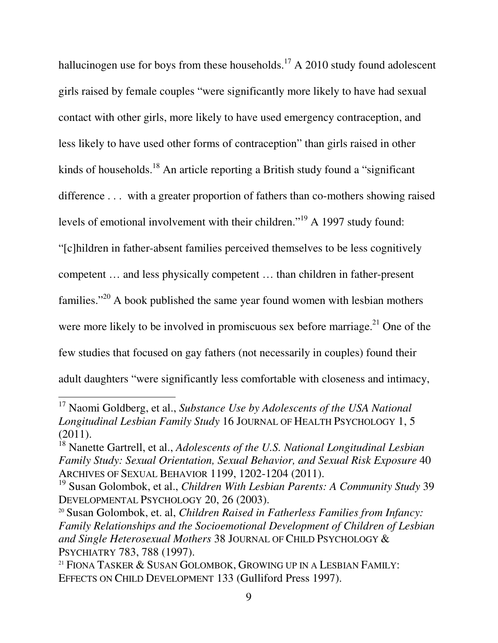hallucinogen use for boys from these households.<sup>17</sup> A 2010 study found adolescent girls raised by female couples "were significantly more likely to have had sexual contact with other girls, more likely to have used emergency contraception, and less likely to have used other forms of contraception" than girls raised in other kinds of households.<sup>18</sup> An article reporting a British study found a "significant" difference . . . with a greater proportion of fathers than co-mothers showing raised levels of emotional involvement with their children."<sup>19</sup> A 1997 study found: "[c]hildren in father-absent families perceived themselves to be less cognitively competent … and less physically competent … than children in father-present families."<sup>20</sup> A book published the same year found women with lesbian mothers were more likely to be involved in promiscuous sex before marriage.<sup>21</sup> One of the few studies that focused on gay fathers (not necessarily in couples) found their adult daughters "were significantly less comfortable with closeness and intimacy,

<sup>17</sup> Naomi Goldberg, et al., *Substance Use by Adolescents of the USA National Longitudinal Lesbian Family Study* 16 JOURNAL OF HEALTH PSYCHOLOGY 1, 5  $(2011).$ 

<sup>&</sup>lt;sup>18</sup> Nanette Gartrell, et al., *Adolescents of the U.S. National Longitudinal Lesbian Family Study: Sexual Orientation, Sexual Behavior, and Sexual Risk Exposure* 40 ARCHIVES OF SEXUAL BEHAVIOR 1199, 1202-1204 (2011).

<sup>19</sup> Susan Golombok, et al., *Children With Lesbian Parents: A Community Study* 39 DEVELOPMENTAL PSYCHOLOGY 20, 26 (2003).

<sup>20</sup> Susan Golombok, et. al, *Children Raised in Fatherless Families from Infancy: Family Relationships and the Socioemotional Development of Children of Lesbian and Single Heterosexual Mothers* 38 JOURNAL OF CHILD PSYCHOLOGY & PSYCHIATRY 783, 788 (1997).

<sup>&</sup>lt;sup>21</sup> FIONA TASKER & SUSAN GOLOMBOK, GROWING UP IN A LESBIAN FAMILY: EFFECTS ON CHILD DEVELOPMENT 133 (Gulliford Press 1997).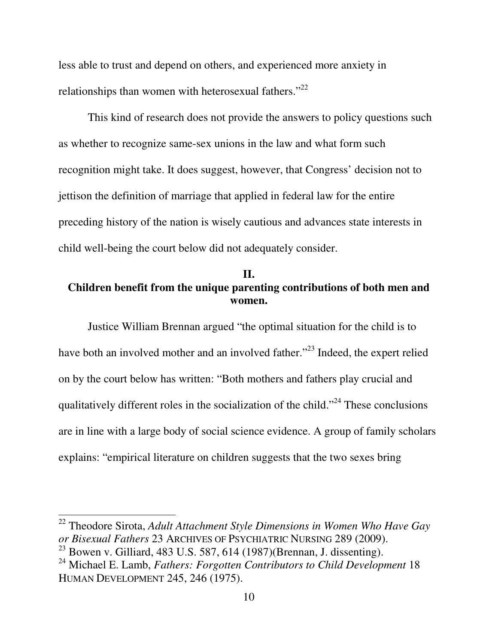less able to trust and depend on others, and experienced more anxiety in relationships than women with heterosexual fathers."<sup>22</sup>

This kind of research does not provide the answers to policy questions such as whether to recognize same-sex unions in the law and what form such recognition might take. It does suggest, however, that Congress' decision not to jettison the definition of marriage that applied in federal law for the entire preceding history of the nation is wisely cautious and advances state interests in child well-being the court below did not adequately consider.

### **II. Children benefit from the unique parenting contributions of both men and women.**

Justice William Brennan argued "the optimal situation for the child is to have both an involved mother and an involved father."<sup>23</sup> Indeed, the expert relied on by the court below has written: "Both mothers and fathers play crucial and qualitatively different roles in the socialization of the child."<sup>24</sup> These conclusions are in line with a large body of social science evidence. A group of family scholars explains: "empirical literature on children suggests that the two sexes bring

 $\ddot{\phantom{a}}$ 

<sup>22</sup> Theodore Sirota, *Adult Attachment Style Dimensions in Women Who Have Gay or Bisexual Fathers* 23 ARCHIVES OF PSYCHIATRIC NURSING 289 (2009).

<sup>23</sup> Bowen v. Gilliard, 483 U.S. 587, 614 (1987)(Brennan, J. dissenting).

<sup>24</sup> Michael E. Lamb, *Fathers: Forgotten Contributors to Child Development* 18 HUMAN DEVELOPMENT 245, 246 (1975).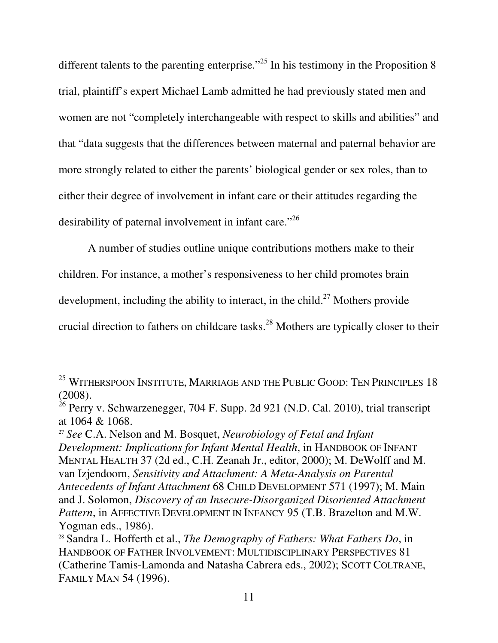different talents to the parenting enterprise."<sup>25</sup> In his testimony in the Proposition 8 trial, plaintiff's expert Michael Lamb admitted he had previously stated men and women are not "completely interchangeable with respect to skills and abilities" and that "data suggests that the differences between maternal and paternal behavior are more strongly related to either the parents' biological gender or sex roles, than to either their degree of involvement in infant care or their attitudes regarding the desirability of paternal involvement in infant care."<sup>26</sup>

A number of studies outline unique contributions mothers make to their children. For instance, a mother's responsiveness to her child promotes brain development, including the ability to interact, in the child.<sup>27</sup> Mothers provide crucial direction to fathers on childcare tasks.<sup>28</sup> Mothers are typically closer to their

 $^{25}$  Witherspoon Institute, Marriage and the Public Good: Ten Principles 18 (2008).

 $26$  Perry v. Schwarzenegger, 704 F. Supp. 2d 921 (N.D. Cal. 2010), trial transcript at 1064 & 1068.

<sup>27</sup> *See* C.A. Nelson and M. Bosquet, *Neurobiology of Fetal and Infant Development: Implications for Infant Mental Health*, in HANDBOOK OF INFANT MENTAL HEALTH 37 (2d ed., C.H. Zeanah Jr., editor, 2000); M. DeWolff and M. van Izjendoorn, *Sensitivity and Attachment: A Meta-Analysis on Parental Antecedents of Infant Attachment* 68 CHILD DEVELOPMENT 571 (1997); M. Main and J. Solomon, *Discovery of an Insecure-Disorganized Disoriented Attachment Pattern*, in AFFECTIVE DEVELOPMENT IN INFANCY 95 (T.B. Brazelton and M.W. Yogman eds., 1986).

<sup>28</sup> Sandra L. Hofferth et al., *The Demography of Fathers: What Fathers Do*, in HANDBOOK OF FATHER INVOLVEMENT: MULTIDISCIPLINARY PERSPECTIVES 81 (Catherine Tamis-Lamonda and Natasha Cabrera eds., 2002); SCOTT COLTRANE, FAMILY MAN 54 (1996).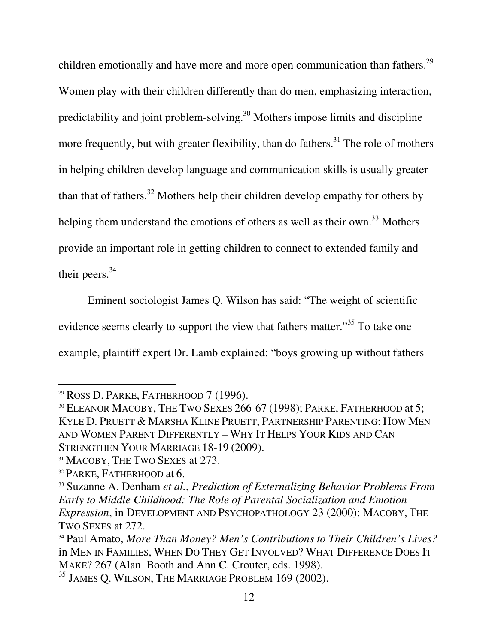children emotionally and have more and more open communication than fathers.<sup>29</sup> Women play with their children differently than do men, emphasizing interaction, predictability and joint problem-solving.<sup>30</sup> Mothers impose limits and discipline more frequently, but with greater flexibility, than do fathers.<sup>31</sup> The role of mothers in helping children develop language and communication skills is usually greater than that of fathers.<sup>32</sup> Mothers help their children develop empathy for others by helping them understand the emotions of others as well as their own.<sup>33</sup> Mothers provide an important role in getting children to connect to extended family and their peers.<sup>34</sup>

Eminent sociologist James Q. Wilson has said: "The weight of scientific evidence seems clearly to support the view that fathers matter."<sup>35</sup> To take one example, plaintiff expert Dr. Lamb explained: "boys growing up without fathers

 $29$  ROSS D. PARKE, FATHERHOOD 7 (1996).

<sup>&</sup>lt;sup>30</sup> ELEANOR MACOBY, THE TWO SEXES 266-67 (1998); PARKE, FATHERHOOD at 5; KYLE D. PRUETT & MARSHA KLINE PRUETT, PARTNERSHIP PARENTING: HOW MEN AND WOMEN PARENT DIFFERENTLY – WHY IT HELPS YOUR KIDS AND CAN STRENGTHEN YOUR MARRIAGE 18-19 (2009).

<sup>&</sup>lt;sup>31</sup> MACOBY, THE TWO SEXES at 273.

<sup>&</sup>lt;sup>32</sup> PARKE, FATHERHOOD at 6.

<sup>33</sup> Suzanne A. Denham *et al.*, *Prediction of Externalizing Behavior Problems From Early to Middle Childhood: The Role of Parental Socialization and Emotion Expression*, in DEVELOPMENT AND PSYCHOPATHOLOGY 23 (2000); MACOBY, THE TWO SEXES at 272.

<sup>34</sup> Paul Amato, *More Than Money? Men's Contributions to Their Children's Lives?* in MEN IN FAMILIES, WHEN DO THEY GET INVOLVED? WHAT DIFFERENCE DOES IT MAKE? 267 (Alan Booth and Ann C. Crouter, eds. 1998).

<sup>&</sup>lt;sup>35</sup> JAMES Q. WILSON, THE MARRIAGE PROBLEM 169 (2002).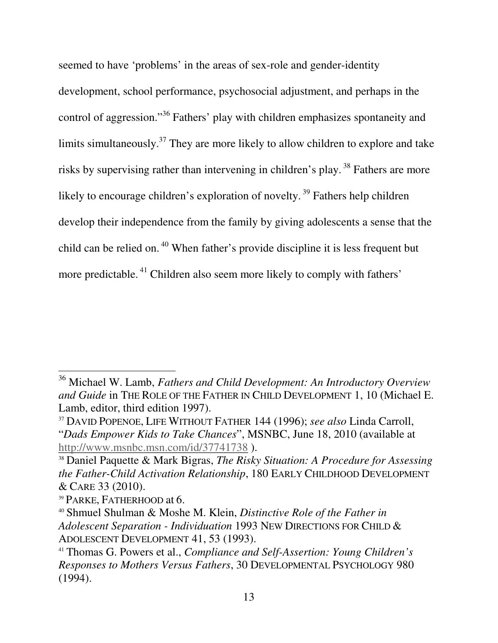seemed to have 'problems' in the areas of sex-role and gender-identity development, school performance, psychosocial adjustment, and perhaps in the control of aggression."<sup>36</sup> Fathers' play with children emphasizes spontaneity and limits simultaneously.<sup>37</sup> They are more likely to allow children to explore and take risks by supervising rather than intervening in children's play.<sup>38</sup> Fathers are more likely to encourage children's exploration of novelty.<sup>39</sup> Fathers help children develop their independence from the family by giving adolescents a sense that the child can be relied on.<sup>40</sup> When father's provide discipline it is less frequent but more predictable.<sup>41</sup> Children also seem more likely to comply with fathers'

<sup>36</sup> Michael W. Lamb, *Fathers and Child Development: An Introductory Overview and Guide* in THE ROLE OF THE FATHER IN CHILD DEVELOPMENT 1, 10 (Michael E. Lamb, editor, third edition 1997).

<sup>37</sup> DAVID POPENOE, LIFE WITHOUT FATHER 144 (1996); *see also* Linda Carroll, "*Dads Empower Kids to Take Chances*", MSNBC, June 18, 2010 (available at http://www.msnbc.msn.com/id/37741738 ).

<sup>38</sup> Daniel Paquette & Mark Bigras, *The Risky Situation: A Procedure for Assessing the Father-Child Activation Relationship*, 180 EARLY CHILDHOOD DEVELOPMENT & CARE 33 (2010).

<sup>39</sup> PARKE, FATHERHOOD at 6.

<sup>40</sup> Shmuel Shulman & Moshe M. Klein, *Distinctive Role of the Father in Adolescent Separation - Individuation* 1993 NEW DIRECTIONS FOR CHILD & ADOLESCENT DEVELOPMENT 41, 53 (1993).

<sup>41</sup> Thomas G. Powers et al., *Compliance and Self-Assertion: Young Children's Responses to Mothers Versus Fathers*, 30 DEVELOPMENTAL PSYCHOLOGY 980 (1994).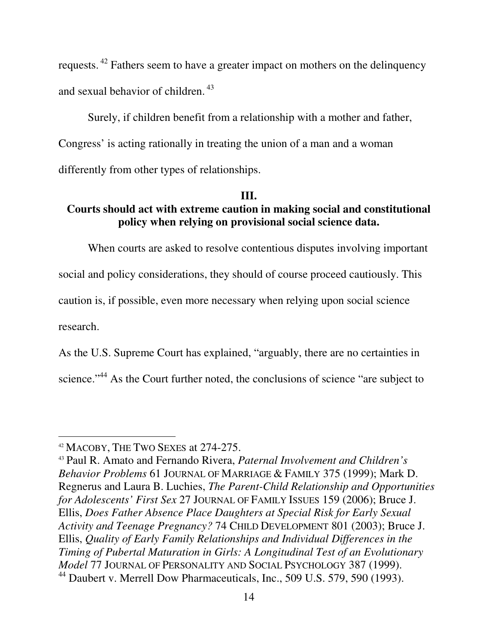requests.<sup>42</sup> Fathers seem to have a greater impact on mothers on the delinquency and sexual behavior of children.<sup>43</sup>

Surely, if children benefit from a relationship with a mother and father, Congress' is acting rationally in treating the union of a man and a woman differently from other types of relationships.

### **III.**

## **Courts should act with extreme caution in making social and constitutional policy when relying on provisional social science data.**

When courts are asked to resolve contentious disputes involving important social and policy considerations, they should of course proceed cautiously. This caution is, if possible, even more necessary when relying upon social science research.

As the U.S. Supreme Court has explained, "arguably, there are no certainties in science."<sup>44</sup> As the Court further noted, the conclusions of science "are subject to

<sup>&</sup>lt;sup>42</sup> MACOBY, THE TWO SEXES at 274-275.

<sup>43</sup> Paul R. Amato and Fernando Rivera, *Paternal Involvement and Children's Behavior Problems* 61 JOURNAL OF MARRIAGE & FAMILY 375 (1999); Mark D. Regnerus and Laura B. Luchies, *The Parent-Child Relationship and Opportunities for Adolescents' First Sex* 27 JOURNAL OF FAMILY ISSUES 159 (2006); Bruce J. Ellis, *Does Father Absence Place Daughters at Special Risk for Early Sexual Activity and Teenage Pregnancy?* 74 CHILD DEVELOPMENT 801 (2003); Bruce J. Ellis, *Quality of Early Family Relationships and Individual Differences in the Timing of Pubertal Maturation in Girls: A Longitudinal Test of an Evolutionary Model* 77 JOURNAL OF PERSONALITY AND SOCIAL PSYCHOLOGY 387 (1999). <sup>44</sup> Daubert v. Merrell Dow Pharmaceuticals, Inc., 509 U.S. 579, 590 (1993).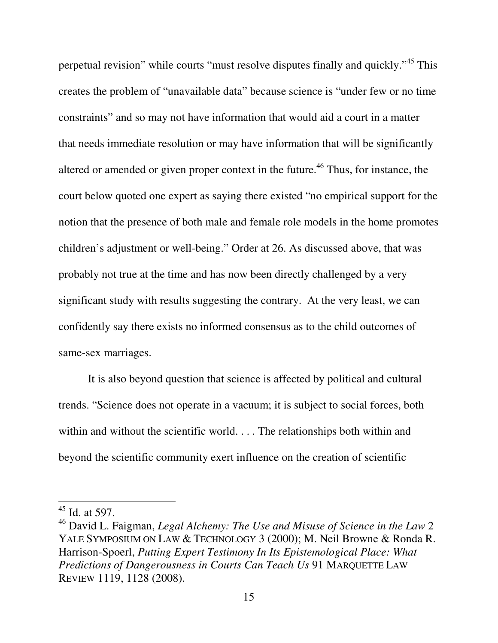perpetual revision" while courts "must resolve disputes finally and quickly."<sup>45</sup> This creates the problem of "unavailable data" because science is "under few or no time constraints" and so may not have information that would aid a court in a matter that needs immediate resolution or may have information that will be significantly altered or amended or given proper context in the future.<sup>46</sup> Thus, for instance, the court below quoted one expert as saying there existed "no empirical support for the notion that the presence of both male and female role models in the home promotes children's adjustment or well-being." Order at 26. As discussed above, that was probably not true at the time and has now been directly challenged by a very significant study with results suggesting the contrary. At the very least, we can confidently say there exists no informed consensus as to the child outcomes of same-sex marriages.

It is also beyond question that science is affected by political and cultural trends. "Science does not operate in a vacuum; it is subject to social forces, both within and without the scientific world. . . . The relationships both within and beyond the scientific community exert influence on the creation of scientific

-

 $45$  Id. at 597.

<sup>46</sup> David L. Faigman, *Legal Alchemy: The Use and Misuse of Science in the Law* 2 YALE SYMPOSIUM ON LAW & TECHNOLOGY 3 (2000); M. Neil Browne & Ronda R. Harrison-Spoerl, *Putting Expert Testimony In Its Epistemological Place: What Predictions of Dangerousness in Courts Can Teach Us* 91 MARQUETTE LAW REVIEW 1119, 1128 (2008).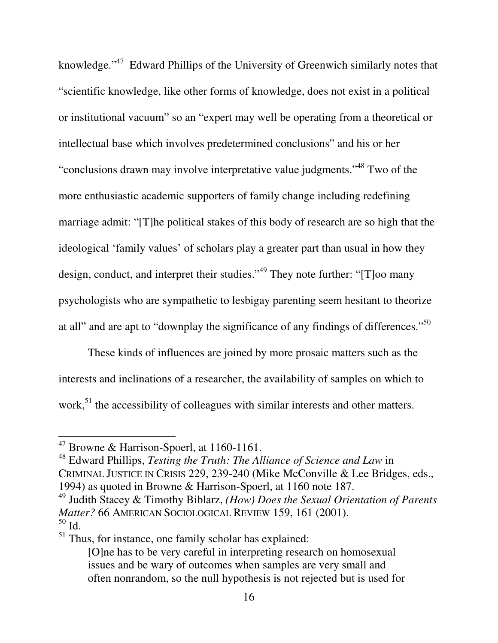knowledge."<sup>47</sup> Edward Phillips of the University of Greenwich similarly notes that "scientific knowledge, like other forms of knowledge, does not exist in a political or institutional vacuum" so an "expert may well be operating from a theoretical or intellectual base which involves predetermined conclusions" and his or her "conclusions drawn may involve interpretative value judgments."<sup>48</sup> Two of the more enthusiastic academic supporters of family change including redefining marriage admit: "[T]he political stakes of this body of research are so high that the ideological 'family values' of scholars play a greater part than usual in how they design, conduct, and interpret their studies."<sup>49</sup> They note further: "[T]oo many psychologists who are sympathetic to lesbigay parenting seem hesitant to theorize at all" and are apt to "downplay the significance of any findings of differences."<sup>50</sup>

These kinds of influences are joined by more prosaic matters such as the interests and inclinations of a researcher, the availability of samples on which to work,<sup>51</sup> the accessibility of colleagues with similar interests and other matters.

 $\overline{a}$ 

<sup>49</sup> Judith Stacey & Timothy Biblarz, *(How) Does the Sexual Orientation of Parents Matter?* 66 AMERICAN SOCIOLOGICAL REVIEW 159, 161 (2001). <sup>50</sup> Id.

 $<sup>51</sup>$  Thus, for instance, one family scholar has explained:</sup>

 $47$  Browne & Harrison-Spoerl, at 1160-1161.

<sup>48</sup> Edward Phillips, *Testing the Truth: The Alliance of Science and Law* in CRIMINAL JUSTICE IN CRISIS 229, 239-240 (Mike McConville & Lee Bridges, eds., 1994) as quoted in Browne & Harrison-Spoerl, at 1160 note 187.

<sup>[</sup>O]ne has to be very careful in interpreting research on homosexual issues and be wary of outcomes when samples are very small and often nonrandom, so the null hypothesis is not rejected but is used for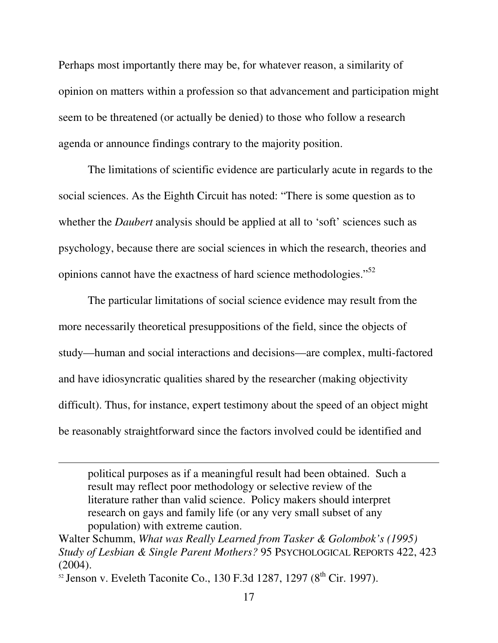Perhaps most importantly there may be, for whatever reason, a similarity of opinion on matters within a profession so that advancement and participation might seem to be threatened (or actually be denied) to those who follow a research agenda or announce findings contrary to the majority position.

The limitations of scientific evidence are particularly acute in regards to the social sciences. As the Eighth Circuit has noted: "There is some question as to whether the *Daubert* analysis should be applied at all to 'soft' sciences such as psychology, because there are social sciences in which the research, theories and opinions cannot have the exactness of hard science methodologies."<sup>52</sup>

The particular limitations of social science evidence may result from the more necessarily theoretical presuppositions of the field, since the objects of study—human and social interactions and decisions—are complex, multi-factored and have idiosyncratic qualities shared by the researcher (making objectivity difficult). Thus, for instance, expert testimony about the speed of an object might be reasonably straightforward since the factors involved could be identified and

political purposes as if a meaningful result had been obtained. Such a result may reflect poor methodology or selective review of the literature rather than valid science. Policy makers should interpret research on gays and family life (or any very small subset of any population) with extreme caution.

Walter Schumm, *What was Really Learned from Tasker & Golombok's (1995) Study of Lesbian & Single Parent Mothers?* 95 PSYCHOLOGICAL REPORTS 422, 423  $(2004).$ 

 $52$  Jenson v. Eveleth Taconite Co., 130 F.3d 1287, 1297 ( $8<sup>th</sup>$  Cir. 1997).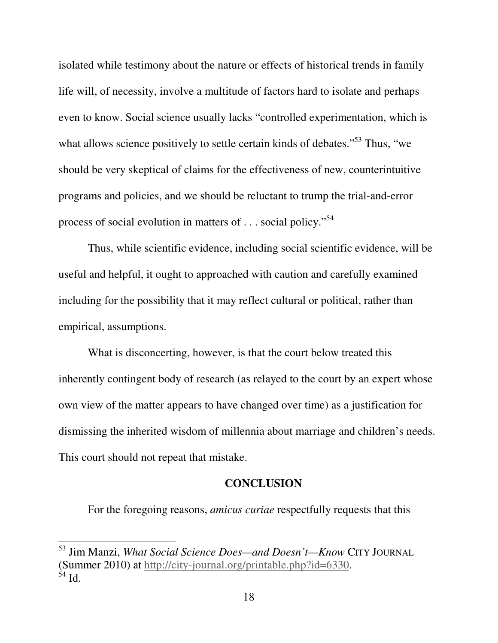isolated while testimony about the nature or effects of historical trends in family life will, of necessity, involve a multitude of factors hard to isolate and perhaps even to know. Social science usually lacks "controlled experimentation, which is what allows science positively to settle certain kinds of debates."<sup>53</sup> Thus, "we should be very skeptical of claims for the effectiveness of new, counterintuitive programs and policies, and we should be reluctant to trump the trial-and-error process of social evolution in matters of . . . social policy."<sup>54</sup>

Thus, while scientific evidence, including social scientific evidence, will be useful and helpful, it ought to approached with caution and carefully examined including for the possibility that it may reflect cultural or political, rather than empirical, assumptions.

What is disconcerting, however, is that the court below treated this inherently contingent body of research (as relayed to the court by an expert whose own view of the matter appears to have changed over time) as a justification for dismissing the inherited wisdom of millennia about marriage and children's needs. This court should not repeat that mistake.

#### **CONCLUSION**

For the foregoing reasons, *amicus curiae* respectfully requests that this

 $\ddot{\phantom{a}}$ 

<sup>53</sup> Jim Manzi, *What Social Science Does—and Doesn't—Know* CITY JOURNAL (Summer 2010) at http://city-journal.org/printable.php?id=6330.  $\hat{5}4$  Id.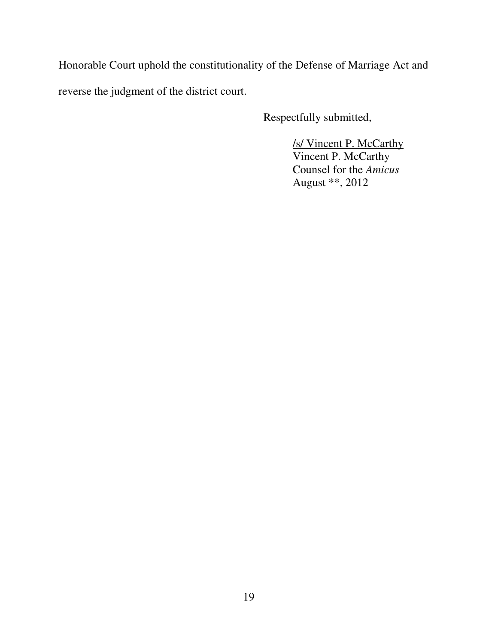Honorable Court uphold the constitutionality of the Defense of Marriage Act and reverse the judgment of the district court.

Respectfully submitted,

/s/ Vincent P. McCarthy Vincent P. McCarthy Counsel for the *Amicus*  August \*\*, 2012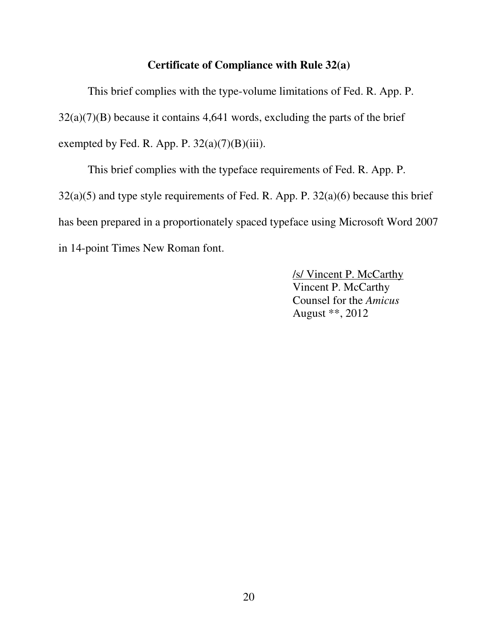#### **Certificate of Compliance with Rule 32(a)**

This brief complies with the type-volume limitations of Fed. R. App. P.  $32(a)(7)(B)$  because it contains 4,641 words, excluding the parts of the brief exempted by Fed. R. App. P.  $32(a)(7)(B)(iii)$ .

This brief complies with the typeface requirements of Fed. R. App. P. 32(a)(5) and type style requirements of Fed. R. App. P. 32(a)(6) because this brief has been prepared in a proportionately spaced typeface using Microsoft Word 2007 in 14-point Times New Roman font.

> /s/ Vincent P. McCarthy Vincent P. McCarthy Counsel for the *Amicus*  August \*\*, 2012